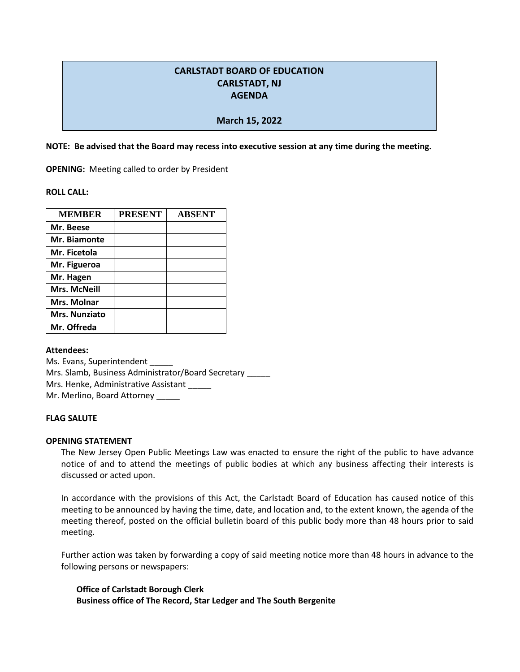# **CARLSTADT BOARD OF EDUCATION CARLSTADT, NJ AGENDA**

## **March 15, 2022**

**NOTE: Be advised that the Board may recess into executive session at any time during the meeting.**

**OPENING:** Meeting called to order by President

**ROLL CALL:** 

| <b>MEMBER</b>       | <b>PRESENT</b> | <b>ABSENT</b> |
|---------------------|----------------|---------------|
| Mr. Beese           |                |               |
| Mr. Biamonte        |                |               |
| Mr. Ficetola        |                |               |
| Mr. Figueroa        |                |               |
| Mr. Hagen           |                |               |
| <b>Mrs. McNeill</b> |                |               |
| Mrs. Molnar         |                |               |
| Mrs. Nunziato       |                |               |
| Mr. Offreda         |                |               |

**Attendees:**

Ms. Evans, Superintendent \_\_\_\_\_ Mrs. Slamb, Business Administrator/Board Secretary \_\_\_\_\_ Mrs. Henke, Administrative Assistant Mr. Merlino, Board Attorney

#### **FLAG SALUTE**

#### **OPENING STATEMENT**

The New Jersey Open Public Meetings Law was enacted to ensure the right of the public to have advance notice of and to attend the meetings of public bodies at which any business affecting their interests is discussed or acted upon.

In accordance with the provisions of this Act, the Carlstadt Board of Education has caused notice of this meeting to be announced by having the time, date, and location and, to the extent known, the agenda of the meeting thereof, posted on the official bulletin board of this public body more than 48 hours prior to said meeting.

Further action was taken by forwarding a copy of said meeting notice more than 48 hours in advance to the following persons or newspapers:

**Office of Carlstadt Borough Clerk Business office of The Record, Star Ledger and The South Bergenite**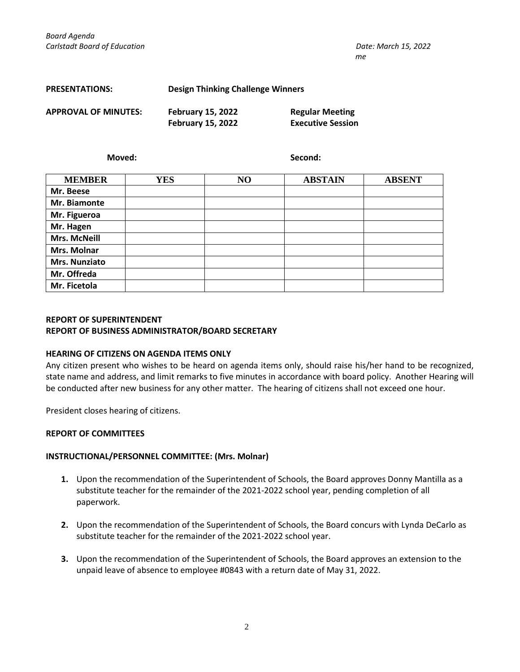| <b>PRESENTATIONS:</b>       |                          | Design Thinking Challenge Winners |  |  |
|-----------------------------|--------------------------|-----------------------------------|--|--|
| <b>APPROVAL OF MINUTES:</b> | <b>February 15, 2022</b> | <b>Regular Meeting</b>            |  |  |
|                             | <b>February 15, 2022</b> | <b>Executive Session</b>          |  |  |

**Moved: Second:**

| <b>MEMBER</b>       | <b>YES</b> | NO | <b>ABSTAIN</b> | <b>ABSENT</b> |
|---------------------|------------|----|----------------|---------------|
| Mr. Beese           |            |    |                |               |
| Mr. Biamonte        |            |    |                |               |
| Mr. Figueroa        |            |    |                |               |
| Mr. Hagen           |            |    |                |               |
| <b>Mrs. McNeill</b> |            |    |                |               |
| Mrs. Molnar         |            |    |                |               |
| Mrs. Nunziato       |            |    |                |               |
| Mr. Offreda         |            |    |                |               |
| Mr. Ficetola        |            |    |                |               |

## **REPORT OF SUPERINTENDENT REPORT OF BUSINESS ADMINISTRATOR/BOARD SECRETARY**

#### **HEARING OF CITIZENS ON AGENDA ITEMS ONLY**

Any citizen present who wishes to be heard on agenda items only, should raise his/her hand to be recognized, state name and address, and limit remarks to five minutes in accordance with board policy. Another Hearing will be conducted after new business for any other matter. The hearing of citizens shall not exceed one hour.

President closes hearing of citizens.

## **REPORT OF COMMITTEES**

#### **INSTRUCTIONAL/PERSONNEL COMMITTEE: (Mrs. Molnar)**

- **1.** Upon the recommendation of the Superintendent of Schools, the Board approves Donny Mantilla as a substitute teacher for the remainder of the 2021-2022 school year, pending completion of all paperwork.
- **2.** Upon the recommendation of the Superintendent of Schools, the Board concurs with Lynda DeCarlo as substitute teacher for the remainder of the 2021-2022 school year.
- **3.** Upon the recommendation of the Superintendent of Schools, the Board approves an extension to the unpaid leave of absence to employee #0843 with a return date of May 31, 2022.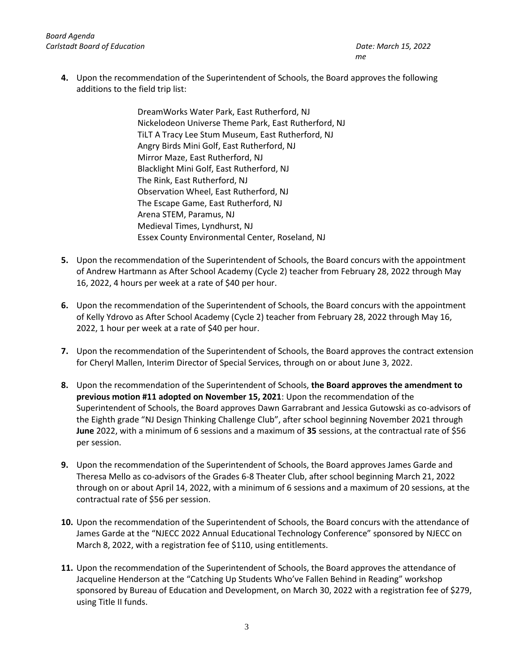*Board Agenda Carlstadt Board of Education Date: March 15, 2022*

**4.** Upon the recommendation of the Superintendent of Schools, the Board approves the following additions to the field trip list:

> DreamWorks Water Park, East Rutherford, NJ Nickelodeon Universe Theme Park, East Rutherford, NJ TiLT A Tracy Lee Stum Museum, East Rutherford, NJ Angry Birds Mini Golf, East Rutherford, NJ Mirror Maze, East Rutherford, NJ Blacklight Mini Golf, East Rutherford, NJ The Rink, East Rutherford, NJ Observation Wheel, East Rutherford, NJ The Escape Game, East Rutherford, NJ Arena STEM, Paramus, NJ Medieval Times, Lyndhurst, NJ Essex County Environmental Center, Roseland, NJ

- **5.** Upon the recommendation of the Superintendent of Schools, the Board concurs with the appointment of Andrew Hartmann as After School Academy (Cycle 2) teacher from February 28, 2022 through May 16, 2022, 4 hours per week at a rate of \$40 per hour.
- **6.** Upon the recommendation of the Superintendent of Schools, the Board concurs with the appointment of Kelly Ydrovo as After School Academy (Cycle 2) teacher from February 28, 2022 through May 16, 2022, 1 hour per week at a rate of \$40 per hour.
- **7.** Upon the recommendation of the Superintendent of Schools, the Board approves the contract extension for Cheryl Mallen, Interim Director of Special Services, through on or about June 3, 2022.
- **8.** Upon the recommendation of the Superintendent of Schools, **the Board approves the amendment to previous motion #11 adopted on November 15, 2021**: Upon the recommendation of the Superintendent of Schools, the Board approves Dawn Garrabrant and Jessica Gutowski as co-advisors of the Eighth grade "NJ Design Thinking Challenge Club", after school beginning November 2021 through **June** 2022, with a minimum of 6 sessions and a maximum of **35** sessions, at the contractual rate of \$56 per session.
- **9.** Upon the recommendation of the Superintendent of Schools, the Board approves James Garde and Theresa Mello as co-advisors of the Grades 6-8 Theater Club, after school beginning March 21, 2022 through on or about April 14, 2022, with a minimum of 6 sessions and a maximum of 20 sessions, at the contractual rate of \$56 per session.
- **10.** Upon the recommendation of the Superintendent of Schools, the Board concurs with the attendance of James Garde at the "NJECC 2022 Annual Educational Technology Conference" sponsored by NJECC on March 8, 2022, with a registration fee of \$110, using entitlements.
- **11.** Upon the recommendation of the Superintendent of Schools, the Board approves the attendance of Jacqueline Henderson at the "Catching Up Students Who've Fallen Behind in Reading" workshop sponsored by Bureau of Education and Development, on March 30, 2022 with a registration fee of \$279, using Title II funds.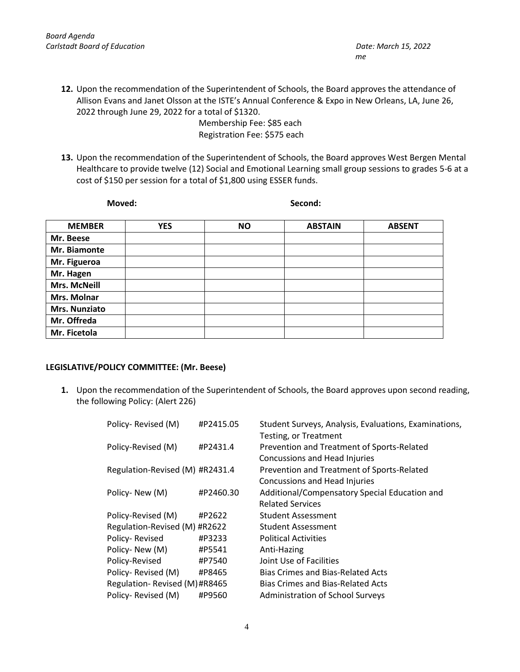**12.** Upon the recommendation of the Superintendent of Schools, the Board approves the attendance of Allison Evans and Janet Olsson at the ISTE's Annual Conference & Expo in New Orleans, LA, June 26, 2022 through June 29, 2022 for a total of \$1320.

> Membership Fee: \$85 each Registration Fee: \$575 each

**13.** Upon the recommendation of the Superintendent of Schools, the Board approves West Bergen Mental Healthcare to provide twelve (12) Social and Emotional Learning small group sessions to grades 5-6 at a cost of \$150 per session for a total of \$1,800 using ESSER funds.

| Moved:        |            | Second:   |                |               |
|---------------|------------|-----------|----------------|---------------|
| <b>MEMBER</b> | <b>YES</b> | <b>NO</b> | <b>ABSTAIN</b> | <b>ABSENT</b> |
| Mr. Beese     |            |           |                |               |
| Mr. Biamonte  |            |           |                |               |
| Mr. Figueroa  |            |           |                |               |
| Mr. Hagen     |            |           |                |               |
| Mrs. McNeill  |            |           |                |               |
| Mrs. Molnar   |            |           |                |               |
| Mrs. Nunziato |            |           |                |               |
| Mr. Offreda   |            |           |                |               |
| Mr. Ficetola  |            |           |                |               |
|               |            |           |                |               |

## **LEGISLATIVE/POLICY COMMITTEE: (Mr. Beese)**

**1.** Upon the recommendation of the Superintendent of Schools, the Board approves upon second reading, the following Policy: (Alert 226)

| Policy-Revised (M)              | #P2415.05 | Student Surveys, Analysis, Evaluations, Examinations,<br>Testing, or Treatment |
|---------------------------------|-----------|--------------------------------------------------------------------------------|
| Policy-Revised (M)              | #P2431.4  | Prevention and Treatment of Sports-Related<br>Concussions and Head Injuries    |
| Regulation-Revised (M) #R2431.4 |           | Prevention and Treatment of Sports-Related<br>Concussions and Head Injuries    |
| Policy-New (M)                  | #P2460.30 | Additional/Compensatory Special Education and<br><b>Related Services</b>       |
| Policy-Revised (M)              | #P2622    | <b>Student Assessment</b>                                                      |
| Regulation-Revised (M) #R2622   |           | Student Assessment                                                             |
| Policy-Revised                  | #P3233    | <b>Political Activities</b>                                                    |
| Policy-New (M)                  | #P5541    | Anti-Hazing                                                                    |
| Policy-Revised                  | #P7540    | Joint Use of Facilities                                                        |
| Policy-Revised (M)              | #P8465    | <b>Bias Crimes and Bias-Related Acts</b>                                       |
| Regulation-Revised (M)#R8465    |           | <b>Bias Crimes and Bias-Related Acts</b>                                       |
| Policy-Revised (M)              | #P9560    | <b>Administration of School Surveys</b>                                        |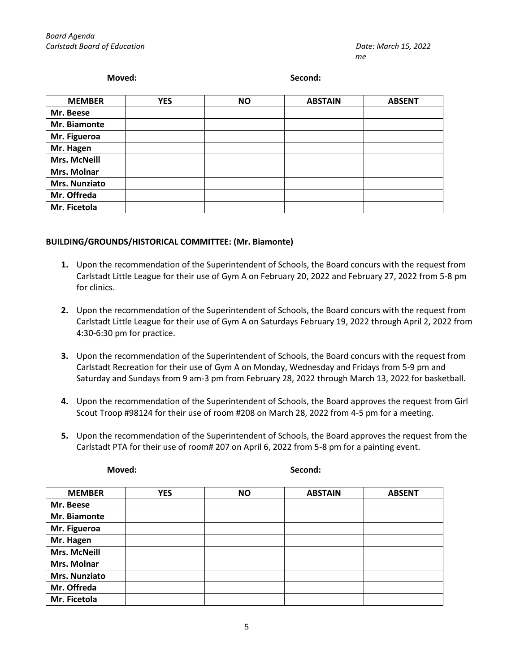#### **Moved: Second:**

| <b>MEMBER</b>       | <b>YES</b> | <b>NO</b> | <b>ABSTAIN</b> | <b>ABSENT</b> |
|---------------------|------------|-----------|----------------|---------------|
| Mr. Beese           |            |           |                |               |
| Mr. Biamonte        |            |           |                |               |
| Mr. Figueroa        |            |           |                |               |
| Mr. Hagen           |            |           |                |               |
| <b>Mrs. McNeill</b> |            |           |                |               |
| Mrs. Molnar         |            |           |                |               |
| Mrs. Nunziato       |            |           |                |               |
| Mr. Offreda         |            |           |                |               |
| Mr. Ficetola        |            |           |                |               |

### **BUILDING/GROUNDS/HISTORICAL COMMITTEE: (Mr. Biamonte)**

- **1.** Upon the recommendation of the Superintendent of Schools, the Board concurs with the request from Carlstadt Little League for their use of Gym A on February 20, 2022 and February 27, 2022 from 5-8 pm for clinics.
- **2.** Upon the recommendation of the Superintendent of Schools, the Board concurs with the request from Carlstadt Little League for their use of Gym A on Saturdays February 19, 2022 through April 2, 2022 from 4:30-6:30 pm for practice.
- **3.** Upon the recommendation of the Superintendent of Schools, the Board concurs with the request from Carlstadt Recreation for their use of Gym A on Monday, Wednesday and Fridays from 5-9 pm and Saturday and Sundays from 9 am-3 pm from February 28, 2022 through March 13, 2022 for basketball.
- **4.** Upon the recommendation of the Superintendent of Schools, the Board approves the request from Girl Scout Troop #98124 for their use of room #208 on March 28, 2022 from 4-5 pm for a meeting.
- **5.** Upon the recommendation of the Superintendent of Schools, the Board approves the request from the Carlstadt PTA for their use of room# 207 on April 6, 2022 from 5-8 pm for a painting event.

| Moved: |  |
|--------|--|
|        |  |

**Moved: Second:**

| <b>MEMBER</b>        | <b>YES</b> | <b>NO</b> | <b>ABSTAIN</b> | <b>ABSENT</b> |
|----------------------|------------|-----------|----------------|---------------|
| Mr. Beese            |            |           |                |               |
| Mr. Biamonte         |            |           |                |               |
| Mr. Figueroa         |            |           |                |               |
| Mr. Hagen            |            |           |                |               |
| <b>Mrs. McNeill</b>  |            |           |                |               |
| Mrs. Molnar          |            |           |                |               |
| <b>Mrs. Nunziato</b> |            |           |                |               |
| Mr. Offreda          |            |           |                |               |
| Mr. Ficetola         |            |           |                |               |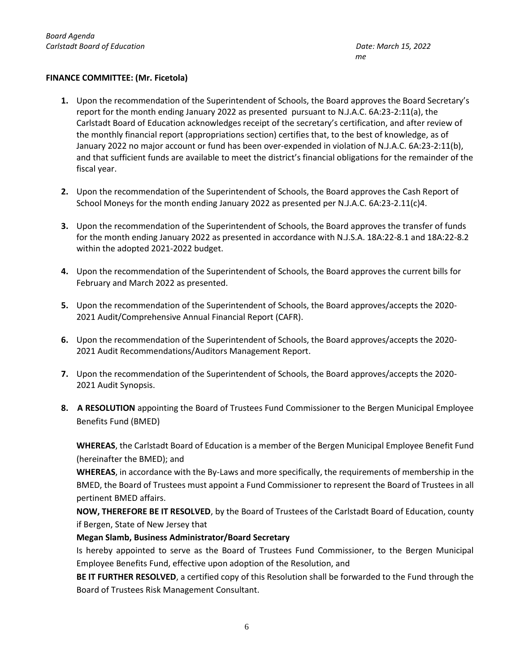## **FINANCE COMMITTEE: (Mr. Ficetola)**

- **1.** Upon the recommendation of the Superintendent of Schools, the Board approves the Board Secretary's report for the month ending January 2022 as presented pursuant to N.J.A.C. 6A:23-2:11(a), the Carlstadt Board of Education acknowledges receipt of the secretary's certification, and after review of the monthly financial report (appropriations section) certifies that, to the best of knowledge, as of January 2022 no major account or fund has been over-expended in violation of N.J.A.C. 6A:23-2:11(b), and that sufficient funds are available to meet the district's financial obligations for the remainder of the fiscal year.
- **2.** Upon the recommendation of the Superintendent of Schools, the Board approves the Cash Report of School Moneys for the month ending January 2022 as presented per N.J.A.C. 6A:23-2.11(c)4.
- **3.** Upon the recommendation of the Superintendent of Schools, the Board approves the transfer of funds for the month ending January 2022 as presented in accordance with N.J.S.A. 18A:22-8.1 and 18A:22-8.2 within the adopted 2021-2022 budget.
- **4.** Upon the recommendation of the Superintendent of Schools, the Board approves the current bills for February and March 2022 as presented.
- **5.** Upon the recommendation of the Superintendent of Schools, the Board approves/accepts the 2020- 2021 Audit/Comprehensive Annual Financial Report (CAFR).
- **6.** Upon the recommendation of the Superintendent of Schools, the Board approves/accepts the 2020- 2021 Audit Recommendations/Auditors Management Report.
- **7.** Upon the recommendation of the Superintendent of Schools, the Board approves/accepts the 2020- 2021 Audit Synopsis.
- **8. A RESOLUTION** appointing the Board of Trustees Fund Commissioner to the Bergen Municipal Employee Benefits Fund (BMED)

**WHEREAS**, the Carlstadt Board of Education is a member of the Bergen Municipal Employee Benefit Fund (hereinafter the BMED); and

**WHEREAS**, in accordance with the By-Laws and more specifically, the requirements of membership in the BMED, the Board of Trustees must appoint a Fund Commissioner to represent the Board of Trustees in all pertinent BMED affairs.

**NOW, THEREFORE BE IT RESOLVED**, by the Board of Trustees of the Carlstadt Board of Education, county if Bergen, State of New Jersey that

## **Megan Slamb, Business Administrator/Board Secretary**

Is hereby appointed to serve as the Board of Trustees Fund Commissioner, to the Bergen Municipal Employee Benefits Fund, effective upon adoption of the Resolution, and

**BE IT FURTHER RESOLVED**, a certified copy of this Resolution shall be forwarded to the Fund through the Board of Trustees Risk Management Consultant.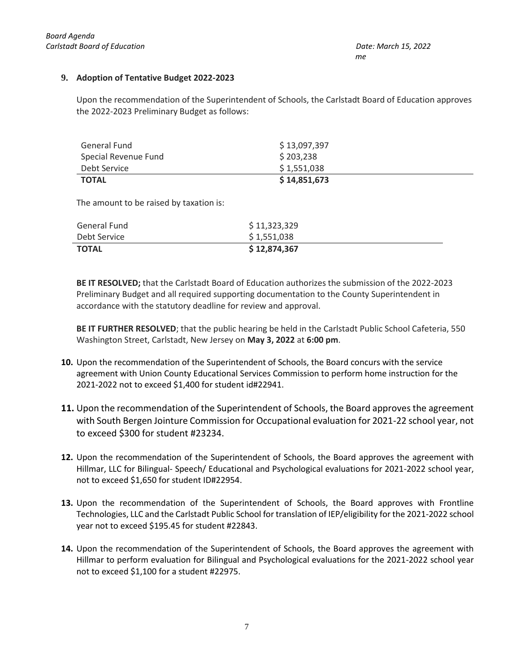## **9. Adoption of Tentative Budget 2022-2023**

Upon the recommendation of the Superintendent of Schools, the Carlstadt Board of Education approves the 2022-2023 Preliminary Budget as follows:

| General Fund         | \$13,097,397 |
|----------------------|--------------|
| Special Revenue Fund | \$203,238    |
| Debt Service         | \$1,551,038  |
| <b>TOTAL</b>         | \$14,851,673 |

The amount to be raised by taxation is:

| General Fund | \$11,323,329 |
|--------------|--------------|
| Debt Service | \$1,551,038  |
| <b>TOTAL</b> | \$12,874,367 |

**BE IT RESOLVED;** that the Carlstadt Board of Education authorizes the submission of the 2022-2023 Preliminary Budget and all required supporting documentation to the County Superintendent in accordance with the statutory deadline for review and approval.

**BE IT FURTHER RESOLVED**; that the public hearing be held in the Carlstadt Public School Cafeteria, 550 Washington Street, Carlstadt, New Jersey on **May 3, 2022** at **6:00 pm**.

- **10.** Upon the recommendation of the Superintendent of Schools, the Board concurs with the service agreement with Union County Educational Services Commission to perform home instruction for the 2021-2022 not to exceed \$1,400 for student id#22941.
- **11.** Upon the recommendation of the Superintendent of Schools, the Board approves the agreement with South Bergen Jointure Commission for Occupational evaluation for 2021-22 school year, not to exceed \$300 for student #23234.
- **12.** Upon the recommendation of the Superintendent of Schools, the Board approves the agreement with Hillmar, LLC for Bilingual- Speech/ Educational and Psychological evaluations for 2021-2022 school year, not to exceed \$1,650 for student ID#22954.
- **13.** Upon the recommendation of the Superintendent of Schools, the Board approves with Frontline Technologies, LLC and the Carlstadt Public School for translation of IEP/eligibility for the 2021-2022 school year not to exceed \$195.45 for student #22843.
- **14.** Upon the recommendation of the Superintendent of Schools, the Board approves the agreement with Hillmar to perform evaluation for Bilingual and Psychological evaluations for the 2021-2022 school year not to exceed \$1,100 for a student #22975.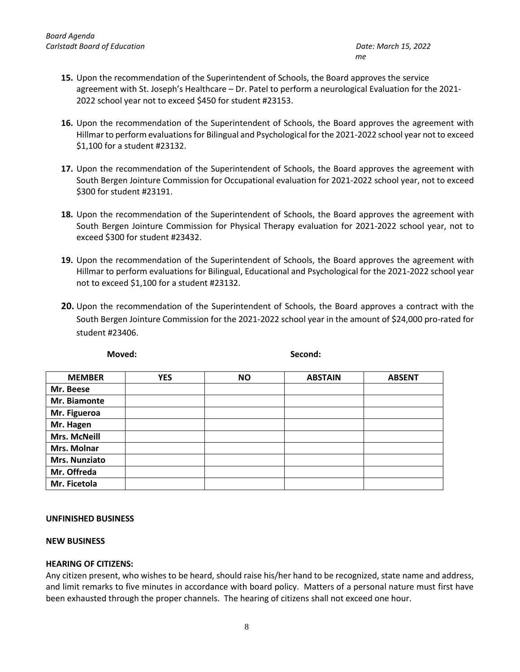- **15.** Upon the recommendation of the Superintendent of Schools, the Board approves the service agreement with St. Joseph's Healthcare – Dr. Patel to perform a neurological Evaluation for the 2021- 2022 school year not to exceed \$450 for student #23153.
- **16.** Upon the recommendation of the Superintendent of Schools, the Board approves the agreement with Hillmar to perform evaluations for Bilingual and Psychological for the 2021-2022 school year not to exceed \$1,100 for a student #23132.
- **17.** Upon the recommendation of the Superintendent of Schools, the Board approves the agreement with South Bergen Jointure Commission for Occupational evaluation for 2021-2022 school year, not to exceed \$300 for student #23191.
- **18.** Upon the recommendation of the Superintendent of Schools, the Board approves the agreement with South Bergen Jointure Commission for Physical Therapy evaluation for 2021-2022 school year, not to exceed \$300 for student #23432.
- **19.** Upon the recommendation of the Superintendent of Schools, the Board approves the agreement with Hillmar to perform evaluations for Bilingual, Educational and Psychological for the 2021-2022 school year not to exceed \$1,100 for a student #23132.
- **20.** Upon the recommendation of the Superintendent of Schools, the Board approves a contract with the South Bergen Jointure Commission for the 2021-2022 school year in the amount of \$24,000 pro-rated for student #23406.

| <b>MEMBER</b>        | <b>YES</b> | <b>NO</b> | <b>ABSTAIN</b> | <b>ABSENT</b> |
|----------------------|------------|-----------|----------------|---------------|
| Mr. Beese            |            |           |                |               |
| Mr. Biamonte         |            |           |                |               |
| Mr. Figueroa         |            |           |                |               |
| Mr. Hagen            |            |           |                |               |
| <b>Mrs. McNeill</b>  |            |           |                |               |
| Mrs. Molnar          |            |           |                |               |
| <b>Mrs. Nunziato</b> |            |           |                |               |
| Mr. Offreda          |            |           |                |               |
| Mr. Ficetola         |            |           |                |               |

**Moved: Second:**

#### **UNFINISHED BUSINESS**

## **NEW BUSINESS**

#### **HEARING OF CITIZENS:**

Any citizen present, who wishes to be heard, should raise his/her hand to be recognized, state name and address, and limit remarks to five minutes in accordance with board policy. Matters of a personal nature must first have been exhausted through the proper channels. The hearing of citizens shall not exceed one hour.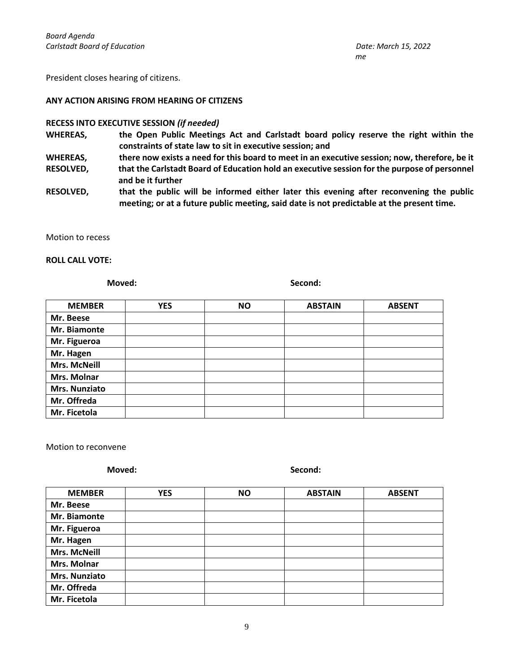President closes hearing of citizens.

#### **ANY ACTION ARISING FROM HEARING OF CITIZENS**

### **RECESS INTO EXECUTIVE SESSION** *(if needed)*

- WHEREAS, the Open Public Meetings Act and Carlstadt board policy reserve the right within the **constraints of state law to sit in executive session; and**
- **WHEREAS, there now exists a need for this board to meet in an executive session; now, therefore, be it RESOLVED, that the Carlstadt Board of Education hold an executive session for the purpose of personnel and be it further**
- **RESOLVED, that the public will be informed either later this evening after reconvening the public meeting; or at a future public meeting, said date is not predictable at the present time.**

Motion to recess

#### **ROLL CALL VOTE:**

**Moved: Second:**

| <b>MEMBER</b>       | <b>YES</b> | <b>NO</b> | <b>ABSTAIN</b> | <b>ABSENT</b> |
|---------------------|------------|-----------|----------------|---------------|
| Mr. Beese           |            |           |                |               |
| Mr. Biamonte        |            |           |                |               |
| Mr. Figueroa        |            |           |                |               |
| Mr. Hagen           |            |           |                |               |
| <b>Mrs. McNeill</b> |            |           |                |               |
| Mrs. Molnar         |            |           |                |               |
| Mrs. Nunziato       |            |           |                |               |
| Mr. Offreda         |            |           |                |               |
| Mr. Ficetola        |            |           |                |               |

Motion to reconvene

**Moved: Second:**

| <b>MEMBER</b>       | <b>YES</b> | <b>NO</b> | <b>ABSTAIN</b> | <b>ABSENT</b> |
|---------------------|------------|-----------|----------------|---------------|
| Mr. Beese           |            |           |                |               |
| Mr. Biamonte        |            |           |                |               |
| Mr. Figueroa        |            |           |                |               |
| Mr. Hagen           |            |           |                |               |
| <b>Mrs. McNeill</b> |            |           |                |               |
| Mrs. Molnar         |            |           |                |               |
| Mrs. Nunziato       |            |           |                |               |
| Mr. Offreda         |            |           |                |               |
| Mr. Ficetola        |            |           |                |               |